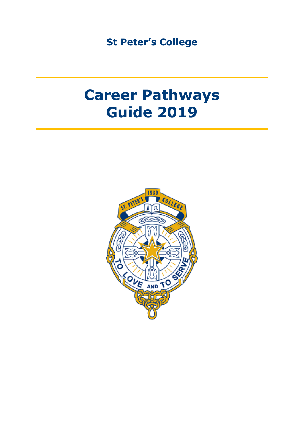**St Peter's College**

# **Career Pathways Guide 2019**

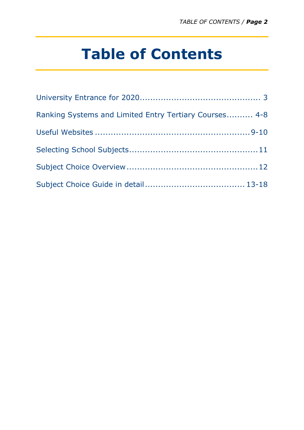# **Table of Contents**

| Ranking Systems and Limited Entry Tertiary Courses 4-8 |  |
|--------------------------------------------------------|--|
|                                                        |  |
|                                                        |  |
|                                                        |  |
|                                                        |  |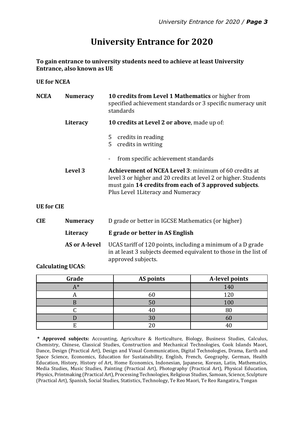# **University Entrance for 2020**

**To gain entrance to university students need to achieve at least University Entrance, also known as UE**

**UE for NCEA**

| <b>NCEA</b>       | <b>Numeracy</b>      | 10 credits from Level 1 Mathematics or higher from<br>specified achievement standards or 3 specific numeracy unit<br>standards                                                                                                  |  |
|-------------------|----------------------|---------------------------------------------------------------------------------------------------------------------------------------------------------------------------------------------------------------------------------|--|
| Literacy          |                      | 10 credits at Level 2 or above, made up of:                                                                                                                                                                                     |  |
|                   |                      | credits in reading<br>5<br>credits in writing<br>5                                                                                                                                                                              |  |
|                   |                      | from specific achievement standards                                                                                                                                                                                             |  |
|                   | Level 3              | <b>Achievement of NCEA Level 3: minimum of 60 credits at</b><br>level 3 or higher and 20 credits at level 2 or higher. Students<br>must gain 14 credits from each of 3 approved subjects.<br>Plus Level 1 Literacy and Numeracy |  |
| <b>UE</b> for CIE |                      |                                                                                                                                                                                                                                 |  |
| <b>CIE</b>        | <b>Numeracy</b>      | D grade or better in IGCSE Mathematics (or higher)                                                                                                                                                                              |  |
|                   | Literacy             | E grade or better in AS English                                                                                                                                                                                                 |  |
|                   | <b>AS or A-level</b> | UCAS tariff of 120 points, including a minimum of a D grade<br>in at least 3 subjects deemed equivalent to those in the list of<br>approved subjects.                                                                           |  |

**Calculating UCAS:**

| Grade       | AS points      | A-level points |
|-------------|----------------|----------------|
| $\Lambda^*$ |                | 140            |
|             |                | 120            |
|             | 5(             | 100            |
|             |                | 80             |
|             | 3 <sub>0</sub> | bU             |
|             |                |                |

**\* Approved subjects:** Accounting, Agriculture & Horticulture, Biology, Business Studies, Calculus, Chemistry, Chinese, Classical Studies, Construction and Mechanical Technologies, Cook Islands Maori, Dance, Design (Practical Art), Design and Visual Communication, Digital Technologies, Drama, Earth and Space Science, Economics, Education for Sustainability, English, French, Geography, German, Health Education, History, History of Art, Home Economics, Indonesian, Japanese, Korean, Latin, Mathematics, Media Studies, Music Studies, Painting (Practical Art), Photography (Practical Art), Physical Education, Physics, Printmaking (Practical Art), Processing Technologies, Religious Studies, Samoan, Science, Sculpture (Practical Art), Spanish, Social Studies, Statistics, Technology, Te Reo Maori, Te Reo Rangatira, Tongan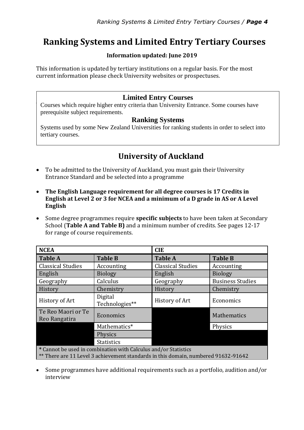# **Ranking Systems and Limited Entry Tertiary Courses**

#### **Information updated: June 2019**

This information is updated by tertiary institutions on a regular basis. For the most current information please check University websites or prospectuses.

#### **Limited Entry Courses**

Courses which require higher entry criteria than University Entrance. Some courses have prerequisite subject requirements.

#### **Ranking Systems**

Systems used by some New Zealand Universities for ranking students in order to select into tertiary courses.

## **University of Auckland**

- To be admitted to the University of Auckland, you must gain their University Entrance Standard and be selected into a programme
- **The English Language requirement for all degree courses is 17 Credits in English at Level 2 or 3 for NCEA and a minimum of a D grade in AS or A Level English**
- Some degree programmes require **specific subjects** to have been taken at Secondary School (**Table A and Table B)** and a minimum number of credits. See pages 12-17 for range of course requirements.

| <b>NCEA</b>                                                                        |                           | <b>CIE</b>               |                         |  |
|------------------------------------------------------------------------------------|---------------------------|--------------------------|-------------------------|--|
| <b>Table A</b>                                                                     | <b>Table B</b>            | <b>Table A</b>           | <b>Table B</b>          |  |
| <b>Classical Studies</b>                                                           | Accounting                | <b>Classical Studies</b> | Accounting              |  |
| English                                                                            | <b>Biology</b>            | English                  | <b>Biology</b>          |  |
| Geography                                                                          | Calculus                  | Geography                | <b>Business Studies</b> |  |
| History                                                                            | Chemistry                 | History                  | Chemistry               |  |
| History of Art                                                                     | Digital<br>Technologies** | History of Art           | Economics               |  |
| Te Reo Maori or Te<br>Reo Rangatira                                                | Economics                 |                          | Mathematics             |  |
|                                                                                    | Mathematics*              |                          | Physics                 |  |
|                                                                                    | Physics                   |                          |                         |  |
|                                                                                    | <b>Statistics</b>         |                          |                         |  |
| * Cannot be used in combination with Calculus and/or Statistics                    |                           |                          |                         |  |
| ** There are 11 Level 3 achievement standards in this domain, numbered 91632-91642 |                           |                          |                         |  |

 Some programmes have additional requirements such as a portfolio, audition and/or interview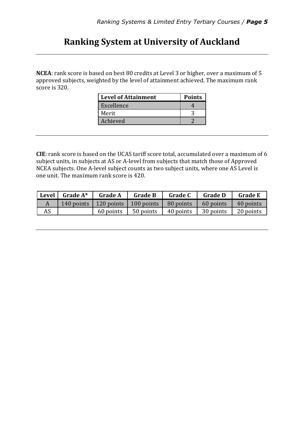# **Ranking System at University of Auckland**

**NCEA**: rank score is based on best 80 credits at Level 3 or higher, over a maximum of 5 approved subjects, weighted by the level of attainment achieved. The maximum rank score is 320.

| <b>Level of Attainment</b> | <b>Points</b> |
|----------------------------|---------------|
| Excellence                 |               |
| Merit                      |               |
| Achieved                   |               |

**CIE**: rank score is based on the UCAS tariff score total, accumulated over a maximum of 6 subject units, in subjects at AS or A-level from subjects that match those of Approved NCEA subjects. One A-level subject counts as two subject units, where one AS Level is one unit. The maximum rank score is 420.

| <b>Level</b> | Grade $A^*$ | <b>Grade A</b>                                   | <b>Grade B</b> | <b>Grade C</b> | <b>Grade D</b> | <b>Grade E</b> |
|--------------|-------------|--------------------------------------------------|----------------|----------------|----------------|----------------|
|              |             | 140 points   120 points   100 points   80 points |                |                | 60 points      | 40 points      |
| AS           |             | 60 points                                        | 50 points      | 40 points      | 30 points      | 20 points      |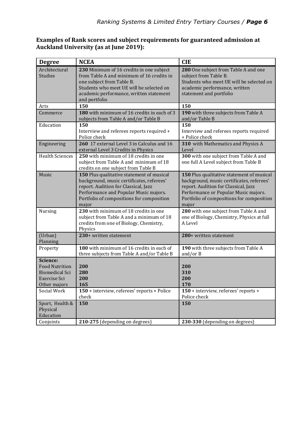#### **Examples of Rank scores and subject requirements for guaranteed admission at Auckland University (as at June 2019):**

| <b>Degree</b>                                                                              | <b>NCEA</b>                                                                                                                                                                                                                   | <b>CIE</b>                                                                                                                                                                                                                   |
|--------------------------------------------------------------------------------------------|-------------------------------------------------------------------------------------------------------------------------------------------------------------------------------------------------------------------------------|------------------------------------------------------------------------------------------------------------------------------------------------------------------------------------------------------------------------------|
| Architectural<br><b>Studies</b>                                                            | 230 Minimum of 16 credits in one subject<br>from Table A and minimum of 16 credits in<br>one subject from Table B.<br>Students who meet UE will be selected on<br>academic performance, written statement<br>and portfolio    | 280 One subject from Table A and one<br>subject from Table B.<br>Students who meet UE will be selected on<br>academic performance, written<br>statement and portfolio                                                        |
| Arts                                                                                       | 150                                                                                                                                                                                                                           | 150                                                                                                                                                                                                                          |
| Commerce                                                                                   | 180 with minimum of 16 credits in each of 3<br>subjects from Table A and/or Table B                                                                                                                                           | 190 with three subjects from Table A<br>and/or Table B                                                                                                                                                                       |
| Education                                                                                  | 150<br>Interview and referees reports required +<br>Police check                                                                                                                                                              | 150<br>Interview and referees reports required<br>+ Police check                                                                                                                                                             |
| Engineering                                                                                | 260 17 external Level 3 in Calculus and 16<br>external Level 3 Credits in Physics                                                                                                                                             | 310 with Mathematics and Physics A<br>Level                                                                                                                                                                                  |
| <b>Health Sciences</b>                                                                     | 250 with minimum of 18 credits in one<br>subject from Table A and minimum of 18<br>credits on one subject from Table B                                                                                                        | 300 with one subject from Table A and<br>one full A Level subject from Table B                                                                                                                                               |
| Music                                                                                      | 150 Plus qualitative statement of musical<br>background, music certificates, referees'<br>report. Audition for Classical, Jazz<br>Performance and Popular Music majors.<br>Portfolio of compositions for composition<br>major | 150 Plus qualitative statement of musical<br>background, music certificates, referees'<br>report. Audition for Classical, Jazz<br>Performance or Popular Music majors.<br>Portfolio of compositions for composition<br>major |
| Nursing                                                                                    | 230 with minimum of 18 credits in one<br>subject from Table A and a minimum of 18<br>credits from one of Biology, Chemistry,<br>Physics                                                                                       | 280 with one subject from Table A and<br>one of Biology, Chemistry, Physics at full<br>A Level                                                                                                                               |
| (Urban)<br>Planning                                                                        | 230+ written statement                                                                                                                                                                                                        | 280+ written statement                                                                                                                                                                                                       |
| Property                                                                                   | 180 with minimum of 16 credits in each of<br>three subjects from Table A and/or Table B                                                                                                                                       | 190 with three subjects from Table A<br>and/or $B$                                                                                                                                                                           |
| Science:<br><b>Food Nutrition</b><br><b>Biomedical Sci</b><br>Exercise Sci<br>Other majors | 200<br>280<br>200<br>165                                                                                                                                                                                                      | 200<br>310<br>200<br>170                                                                                                                                                                                                     |
| Social Work                                                                                | 150 + interview, referees' reports + Police<br>check                                                                                                                                                                          | 150 + interview, referees' reports +<br>Police check                                                                                                                                                                         |
| Sport, Health &<br>Physical<br>Education                                                   | 150                                                                                                                                                                                                                           | 150                                                                                                                                                                                                                          |
| Conjoints                                                                                  | 210-275 (depending on degrees)                                                                                                                                                                                                | 230-330 (depending on degrees)                                                                                                                                                                                               |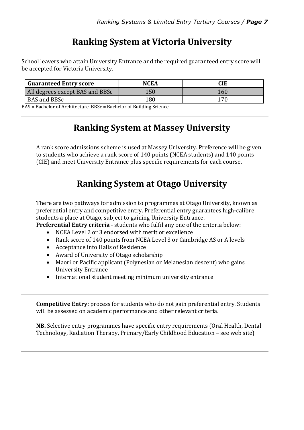# **Ranking System at Victoria University**

School leavers who attain University Entrance and the required guaranteed entry score will be accepted for Victoria University.

| <b>Guaranteed Entry score</b>   | NCEA | CIE |
|---------------------------------|------|-----|
| All degrees except BAS and BBSc | 150  | 160 |
| BAS and BBSc                    | 180  |     |

BAS = Bachelor of Architecture. BBSc = Bachelor of Building Science.

# **Ranking System at Massey University**

A rank score admissions scheme is used at Massey University. Preference will be given to students who achieve a rank score of 140 points (NCEA students) and 140 points (CIE) and meet University Entrance plus specific requirements for each course.

# **Ranking System at Otago University**

There are two pathways for admission to programmes at Otago University, known as preferential entry and competitive entry. Preferential entry guarantees high-calibre students a place at Otago, subject to gaining University Entrance.

**Preferential Entry criteria** - students who fulfil any one of the criteria below:

- NCEA Level 2 or 3 endorsed with merit or excellence
- Rank score of 140 points from NCEA Level 3 or Cambridge AS or A levels
- Acceptance into Halls of Residence
- Award of University of Otago scholarship
- Maori or Pacific applicant (Polynesian or Melanesian descent) who gains University Entrance
- International student meeting minimum university entrance

**Competitive Entry:** process for students who do not gain preferential entry. Students will be assessed on academic performance and other relevant criteria.

**NB.** Selective entry programmes have specific entry requirements (Oral Health, Dental Technology, Radiation Therapy, Primary/Early Childhood Education – see web site)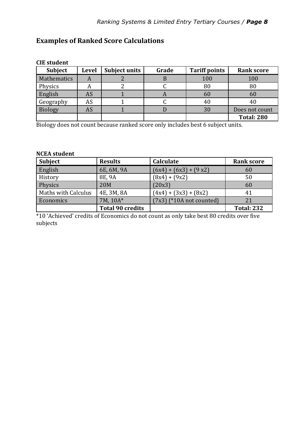### **Examples of Ranked Score Calculations**

| GIL SUGUEIIU   |              |                      |       |                      |                   |
|----------------|--------------|----------------------|-------|----------------------|-------------------|
| <b>Subject</b> | <b>Level</b> | <b>Subject units</b> | Grade | <b>Tariff points</b> | <b>Rank score</b> |
| Mathematics    | A            |                      |       | 100                  | 100               |
| Physics        | A            |                      |       | 80                   | 80                |
| English        | AS           |                      |       | 60                   | 60                |
| Geography      | <b>AS</b>    |                      |       | 40                   |                   |
| <b>Biology</b> | AS           |                      |       | 30                   | Does not count    |
|                |              |                      |       |                      | <b>Total: 280</b> |

**CIE student**

Biology does not count because ranked score only includes best 6 subject units.

#### **NCEA student**

| <b>Subject</b>             | <b>Results</b>          | Calculate                  | <b>Rank score</b> |
|----------------------------|-------------------------|----------------------------|-------------------|
| English                    | 6E, 6M, 9A              | $(6x4) + (6x3) + (9x2)$    | 60                |
| History                    | 8E, 9A                  | $(8x4) + (9x2)$            | 50                |
| Physics                    | 20M                     | (20x3)                     | 60                |
| <b>Maths with Calculus</b> | 4E, 3M, 8A              | $(4x4) + (3x3) + (8x2)$    | 41                |
| Economics                  | 7M, 10A*                | $(7x3)$ (*10A not counted) | 21                |
|                            | <b>Total 90 credits</b> |                            | <b>Total: 232</b> |

\*10 'Achieved' credits of Economics do not count as only take best 80 credits over five subjects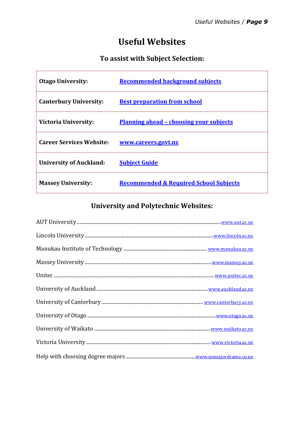## **Useful Websites**

### **To assist with Subject Selection:**

| <b>Otago University:</b>        | <b>Recommended background subjects</b>            |
|---------------------------------|---------------------------------------------------|
| <b>Canterbury University:</b>   | <b>Best preparation from school</b>               |
| <b>Victoria University:</b>     | <u> Planning ahead – choosing your subjects</u>   |
| <b>Career Services Website:</b> | <u>www.careers.govt.nz</u>                        |
| <b>University of Auckland:</b>  | <b>Subject Guide</b>                              |
| <b>Massey University:</b>       | <b>Recommended &amp; Required School Subjects</b> |

### **University and Polytechnic Websites:**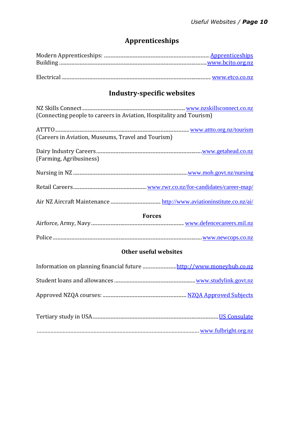### **Apprenticeships**

### **Industry-specific websites**

| (Connecting people to careers in Aviation, Hospitality and Tourism) |  |
|---------------------------------------------------------------------|--|
| (Careers in Aviation, Museums, Travel and Tourism)                  |  |
| (Farming, Agribusiness)                                             |  |
|                                                                     |  |
|                                                                     |  |
|                                                                     |  |
| <b>Forces</b>                                                       |  |
|                                                                     |  |
|                                                                     |  |
| <b>Other useful websites</b>                                        |  |
| Information on planning financial future http://www.moneyhub.co.nz  |  |
|                                                                     |  |
|                                                                     |  |
|                                                                     |  |
| www.fulbright.org.nz                                                |  |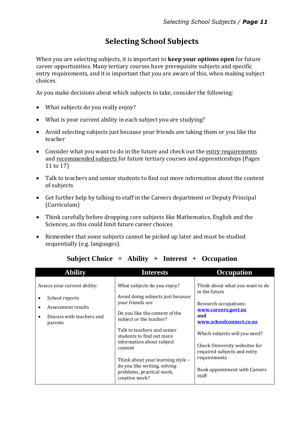### **Selecting School Subjects**

When you are selecting subjects, it is important to **keep your options open** for future career opportunities. Many tertiary courses have prerequisite subjects and specific entry requirements, and it is important that you are aware of this, when making subject choices.

As you make decisions about which subjects to take, consider the following:

- What subjects do you really enjoy?
- What is your current ability in each subject you are studying?
- Avoid selecting subjects just because your friends are taking them or you like the teacher
- Consider what you want to do in the future and check out the entry requirements and recommended subjects for future tertiary courses and apprenticeships (Pages 11 to 17)
- Talk to teachers and senior students to find out more information about the content of subjects
- Get further help by talking to staff in the Careers department or Deputy Principal (Curriculum)
- Think carefully before dropping core subjects like Mathematics, English and the Sciences, as this could limit future career choices
- Remember that some subjects cannot be picked up later and must be studied sequentially (e.g. languages).

| <b>Ability</b>                                                                                                 | <b>Interests</b>                                                                                                                                                                                                     | <b>Occupation</b>                                                                                                                                                                  |
|----------------------------------------------------------------------------------------------------------------|----------------------------------------------------------------------------------------------------------------------------------------------------------------------------------------------------------------------|------------------------------------------------------------------------------------------------------------------------------------------------------------------------------------|
| Assess your current ability:<br>School reports<br>Assessment results<br>Discuss with teachers and<br>$\bullet$ | What subjects do you enjoy?<br>Avoid doing subjects just because<br>your friends are<br>Do you like the content of the<br>subject or the teacher?                                                                    | Think about what you want to do<br>in the future<br>Research occupations:<br>www.careers.govt.nz<br>and                                                                            |
| parents                                                                                                        | Talk to teachers and senior<br>students to find out more<br>information about subject<br>content<br>Think about your learning style -<br>do you like writing, solving<br>problems, practical work,<br>creative work? | www.schoolconnect.co.nz<br>Which subjects will you need?<br>Check University websites for<br>required subjects and entry<br>requirements<br>Book appointment with Careers<br>staff |

#### **Subject Choice = Ability + Interest + Occupation**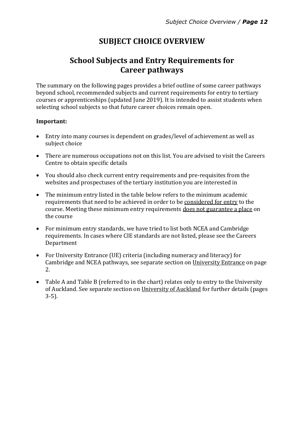### **SUBJECT CHOICE OVERVIEW**

### **School Subjects and Entry Requirements for Career pathways**

The summary on the following pages provides a brief outline of some career pathways beyond school, recommended subjects and current requirements for entry to tertiary courses or apprenticeships (updated June 2019). It is intended to assist students when selecting school subjects so that future career choices remain open.

#### **Important:**

- Entry into many courses is dependent on grades/level of achievement as well as subject choice
- There are numerous occupations not on this list. You are advised to visit the Careers Centre to obtain specific details
- You should also check current entry requirements and pre-requisites from the websites and prospectuses of the tertiary institution you are interested in
- The minimum entry listed in the table below refers to the minimum academic requirements that need to be achieved in order to be considered for entry to the course. Meeting these minimum entry requirements does not guarantee a place on the course
- For minimum entry standards, we have tried to list both NCEA and Cambridge requirements. In cases where CIE standards are not listed, please see the Careers Department
- For University Entrance (UE) criteria (including numeracy and literacy) for Cambridge and NCEA pathways, see separate section on University Entrance on page 2.
- Table A and Table B (referred to in the chart) relates only to entry to the University of Auckland. See separate section on University of Auckland for further details (pages 3-5).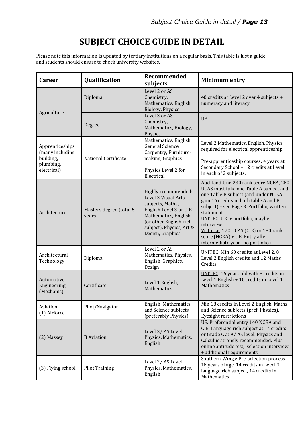# **SUBJECT CHOICE GUIDE IN DETAIL**

Please note this information is updated by tertiary institutions on a regular basis. This table is just a guide and students should ensure to check university websites.

| <b>Career</b>                                   | Qualification                     | <b>Recommended</b><br>subjects                                                                                                                                                             | <b>Minimum entry</b>                                                                                                                                                                                                                                                                                                                                                                   |
|-------------------------------------------------|-----------------------------------|--------------------------------------------------------------------------------------------------------------------------------------------------------------------------------------------|----------------------------------------------------------------------------------------------------------------------------------------------------------------------------------------------------------------------------------------------------------------------------------------------------------------------------------------------------------------------------------------|
| Agriculture                                     | Diploma                           | Level 2 or AS<br>Chemistry,<br>Mathematics, English,<br>Biology, Physics                                                                                                                   | 40 credits at Level 2 over 4 subjects +<br>numeracy and literacy                                                                                                                                                                                                                                                                                                                       |
|                                                 | Degree                            | Level 3 or AS<br>Chemistry,<br>Mathematics, Biology,<br>Physics                                                                                                                            | <b>UE</b>                                                                                                                                                                                                                                                                                                                                                                              |
| Apprenticeships<br>(many including<br>building, | National Certificate              | Mathematics, English,<br>General Science,<br>Carpentry, Furniture-<br>making, Graphics                                                                                                     | Level 2 Mathematics, English, Physics<br>required for electrical apprenticeship<br>Pre-apprenticeship courses: 4 years at<br>Secondary School + 12 credits at Level 1<br>in each of 2 subjects.                                                                                                                                                                                        |
| plumbing,<br>electrical)                        |                                   | Physics Level 2 for<br>Electrical                                                                                                                                                          |                                                                                                                                                                                                                                                                                                                                                                                        |
| Architecture                                    | Masters degree (total 5<br>years) | Highly recommended:<br>Level 3 Visual Arts<br>subjects, Maths,<br>English Level 3 or CIE<br>Mathematics, English<br>(or other English-rich<br>subject), Physics, Art &<br>Design, Graphics | Auckland Uni: 230 rank score NCEA, 280<br>UCAS must take one Table A subject and<br>one Table B subject (and under NCEA<br>gain 16 credits in both table A and B<br>subject) - see Page 3. Portfolio, written<br>statement<br>UNITEC: UE + portfolio, maybe<br>interview<br>Victoria: 170 UCAS (CIE) or 180 rank<br>score (NCEA) + UE. Entry after<br>intermediate year (no portfolio) |
| Architectural<br>Technology                     | Diploma                           | Level 2 or AS<br>Mathematics, Physics,<br>English, Graphics,<br>Design                                                                                                                     | <b>UNITEC:</b> Min 60 credits at Level 2, 8<br>Level 2 English credits and 12 Maths<br>Credits                                                                                                                                                                                                                                                                                         |
| Automotive<br>Engineering<br>(Mechanic)         | Certificate                       | Level 1 English,<br>Mathematics                                                                                                                                                            | <b>UNITEC:</b> 16 years old with 8 credits in<br>Level 1 English + 10 credits in Level 1<br>Mathematics                                                                                                                                                                                                                                                                                |
| Aviation<br>(1) Airforce                        | Pilot/Navigator                   | English, Mathematics<br>and Science subjects<br>(preferably Physics)                                                                                                                       | Min 18 credits in Level 2 English, Maths<br>and Science subjects (pref. Physics).<br>Eyesight restrictions                                                                                                                                                                                                                                                                             |
| (2) Massey                                      | <b>B</b> Aviation                 | Level 3/AS Level<br>Physics, Mathematics,<br>English                                                                                                                                       | UE. Preferential entry 140 NCEA and<br>CIE. Language rich subject at 14 credits<br>or Grade C at A/AS level. Physics and<br>Calculus strongly recommended. Plus<br>online aptitude test, selection interview<br>+ additional requirements                                                                                                                                              |
| (3) Flying school                               | <b>Pilot Training</b>             | Level 2/AS Level<br>Physics, Mathematics,<br>English                                                                                                                                       | Southern Wings: Pre-selection process.<br>18 years of age. 14 credits in Level 3<br>language rich subject, 14 credits in<br>Mathematics                                                                                                                                                                                                                                                |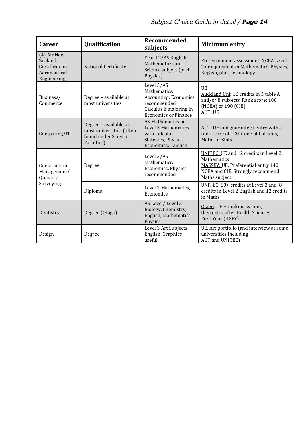| <b>Career</b>                                                           | Qualification                                                                          | Recommended<br>subjects                                                                                                       | <b>Minimum entry</b>                                                                                                                           |
|-------------------------------------------------------------------------|----------------------------------------------------------------------------------------|-------------------------------------------------------------------------------------------------------------------------------|------------------------------------------------------------------------------------------------------------------------------------------------|
| (4) Air New<br>Zealand<br>Certificate in<br>Aeronautical<br>Engineering | <b>National Certificate</b>                                                            | Year 12/AS English,<br>Mathematics and<br>Science subject (pref.<br>Physics)                                                  | Pre-enrolment assessment. NCEA Level<br>2 or equivalent in Mathematics, Physics,<br>English, plus Technology                                   |
| Business/<br>Commerce                                                   | Degree - available at<br>most universities                                             | Level 3/AS<br>Mathematics.<br>Accounting, Economics<br>recommended.<br>Calculus if majoring in<br><b>Economics or Finance</b> | UE<br>Auckland Uni: 16 credits in 3 table A<br>and/or B subjects. Rank score: 180<br>(NCEA) or 190 (CIE)<br><b>AUT: UE</b>                     |
| Computing/IT                                                            | Degree - available at<br>most universities (often<br>found under Science<br>Faculties) | AS Mathematics or<br>Level 3 Mathematics<br>with Calculus.<br>Statistics, Physics,<br>Economics, English                      | AUT: UE and guaranteed entry with a<br>rank score of 120 + one of Calculus,<br>Maths or Stats                                                  |
| Construction<br>Management/<br>Quantity                                 | Degree                                                                                 | Level 3/AS<br>Mathematics.<br>Economics, Physics<br>recommended                                                               | UNITEC: UE and 12 credits in Level 2<br>Mathematics<br>MASSEY: UE. Preferential entry 140<br>NCEA and CIE. Strongly recommend<br>Maths subject |
| Surveying                                                               | Diploma                                                                                | Level 2 Mathematics,<br>Economics                                                                                             | UNITEC: 60+ credits at Level 2 and 8<br>credits in Level 2 English and 12 credits<br>in Maths                                                  |
| Dentistry                                                               | Degree (Otago)                                                                         | AS Level/Level 3<br>Biology, Chemistry,<br>English, Mathematics,<br>Physics                                                   | Otago: UE + ranking system,<br>then entry after Health Sciences<br>First Year (HSFY)                                                           |
| Design                                                                  | Degree                                                                                 | Level 3 Art Subjects.<br>English, Graphics<br>useful.                                                                         | UE. Art portfolio (and interview at some<br>universities including<br>AUT and UNITEC)                                                          |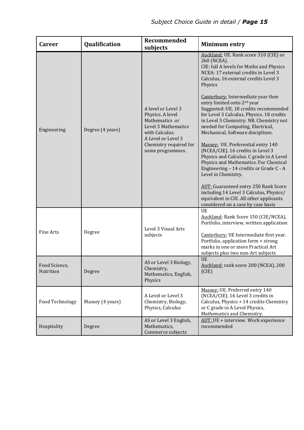| <b>Career</b>              | Qualification    | Recommended<br>subjects                                                                                                                                                 | <b>Minimum entry</b>                                                                                                                                                                                                                                                                                                                                                                                                                                                                                                                                                                                                                                                                                                       |
|----------------------------|------------------|-------------------------------------------------------------------------------------------------------------------------------------------------------------------------|----------------------------------------------------------------------------------------------------------------------------------------------------------------------------------------------------------------------------------------------------------------------------------------------------------------------------------------------------------------------------------------------------------------------------------------------------------------------------------------------------------------------------------------------------------------------------------------------------------------------------------------------------------------------------------------------------------------------------|
| Engineering                | Degree (4 years) | A level or Level 3<br>Physics. A level<br>Mathematics or<br>Level 3 Mathematics<br>with Calculus.<br>A Level or Level 3<br>Chemistry required for<br>some programmes.   | Auckland: UE. Rank score 310 (CIE) or<br>260 (NCEA).<br>CIE: full A levels for Maths and Physics<br>NCEA: 17 external credits in Level 3<br>Calculus, 16 external credits Level 3<br>Physics<br>Canterbury: Intermediate year then<br>entry limited onto 2 <sup>nd</sup> year<br>Suggested: UE, 18 credits recommended<br>for Level 3 Calculus, Physics. 18 credits<br>in Level 3 Chemistry. NB. Chemistry not<br>needed for Computing, Electrical,<br>Mechanical, Software disciplines.<br>Massey: UE. Preferential entry 140<br>(NCEA/CIE). 16 credits in Level 3<br>Physics and Calculus. C grade in A Level<br>Physics and Mathematics. For Chemical<br>Engineering - 14 credits or Grade C - A<br>Level in Chemistry. |
|                            |                  | <b>AUT:</b> Guaranteed entry 250 Rank Score<br>including 14 Level 3 Calculus, Physics/<br>equivalent in CIE. All other applicants<br>considered on a case by case basis |                                                                                                                                                                                                                                                                                                                                                                                                                                                                                                                                                                                                                                                                                                                            |
| <b>Fine Arts</b>           | Degree           | Level 3 Visual Arts<br>subjects                                                                                                                                         | <b>UE</b><br>Auckland: Rank Score 150 (CIE/NCEA),<br>Portfolio, interview, written application<br>Canterbury: UE Intermediate first year.<br>Portfolio, application form + strong<br>marks in one or more Practical Art<br>subjects plus two non-Art subjects                                                                                                                                                                                                                                                                                                                                                                                                                                                              |
| Food Science,<br>Nutrition | Degree           | AS or Level 3 Biology,<br>Chemistry,<br>Mathematics, English,<br>Physics                                                                                                | <b>UE</b><br>Auckland: rank score 200 (NCEA), 200<br>(CIE)                                                                                                                                                                                                                                                                                                                                                                                                                                                                                                                                                                                                                                                                 |
| Food Technology            | Massey (4 years) | A Level or Level 3<br>Chemistry, Biology,<br>Physics, Calculus                                                                                                          | Massey: UE. Preferred entry 140<br>(NCEA/CIE). 16 Level 3 credits in<br>Calculus, Physics + 14 credits Chemistry<br>or C grade in A Level Physics,<br>Mathematics and Chemistry.                                                                                                                                                                                                                                                                                                                                                                                                                                                                                                                                           |
| Hospitality                | Degree           | AS or Level 3 English,<br>Mathematics,<br>Commerce subjects                                                                                                             | AUT: UE + interview. Work experience<br>recommended                                                                                                                                                                                                                                                                                                                                                                                                                                                                                                                                                                                                                                                                        |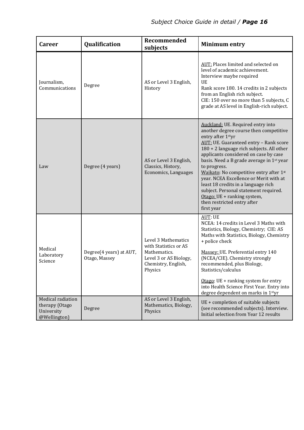| <b>Career</b>                                                     | Qualification                            | <b>Recommended</b><br>subjects                                                                                           | <b>Minimum entry</b>                                                                                                                                                                                                                                                                                                                                                                                                                                                                                                                           |
|-------------------------------------------------------------------|------------------------------------------|--------------------------------------------------------------------------------------------------------------------------|------------------------------------------------------------------------------------------------------------------------------------------------------------------------------------------------------------------------------------------------------------------------------------------------------------------------------------------------------------------------------------------------------------------------------------------------------------------------------------------------------------------------------------------------|
| Journalism,<br>Communications                                     | Degree                                   | AS or Level 3 English,<br>History                                                                                        | AUT: Places limited and selected on<br>level of academic achievement.<br>Interview maybe required<br><b>UE</b><br>Rank score 180. 14 credits in 2 subjects<br>from an English rich subject.<br>CIE: 150 over no more than 5 subjects, C<br>grade at AS level in English-rich subject.                                                                                                                                                                                                                                                          |
| Law                                                               | Degree (4 years)                         | AS or Level 3 English,<br>Classics, History,<br>Economics, Languages                                                     | Auckland: UE. Required entry into<br>another degree course then competitive<br>entry after 1styr<br>AUT: UE. Guaranteed entry - Rank score<br>180 + 2 language rich subjects. All other<br>applicants considered on case by case<br>basis. Need a B grade average in 1st year<br>to progress.<br>Waikato: No competitive entry after 1st<br>year. NCEA Excellence or Merit with at<br>least 18 credits in a language rich<br>subject. Personal statement required.<br>Otago: UE + ranking system,<br>then restricted entry after<br>first year |
| Medical<br>Laboratory<br>Science                                  | Degree(4 years) at AUT,<br>Otago, Massey | Level 3 Mathematics<br>with Statistics or AS<br>Mathematics.<br>Level 3 or AS Biology,<br>Chemistry, English,<br>Physics | <b>AUT: UE</b><br>NCEA: 14 credits in Level 3 Maths with<br>Statistics, Biology, Chemistry; CIE: AS<br>Maths with Statistics, Biology, Chemistry<br>+ police check<br>Massey: UE. Preferential entry 140<br>(NCEA/CIE). Chemistry strongly<br>recommended, plus Biology,<br>Statistics/calculus<br>Otago: $UE + ranking$ system for entry<br>into Health Science First Year. Entry into<br>degree dependent on marks in 1styr                                                                                                                  |
| Medical radiation<br>therapy (Otago<br>University<br>@Wellington) | Degree                                   | AS or Level 3 English,<br>Mathematics, Biology,<br>Physics                                                               | UE + completion of suitable subjects<br>(see recommended subjects). Interview.<br>Initial selection from Year 12 results                                                                                                                                                                                                                                                                                                                                                                                                                       |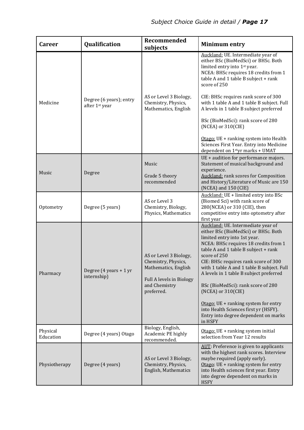| <b>Career</b>         | <b>Qualification</b>                      | Recommended<br>subjects                                                                                                          | <b>Minimum entry</b>                                                                                                                                                                                                                                                                                                                                                                                                                                                                                                                                       |
|-----------------------|-------------------------------------------|----------------------------------------------------------------------------------------------------------------------------------|------------------------------------------------------------------------------------------------------------------------------------------------------------------------------------------------------------------------------------------------------------------------------------------------------------------------------------------------------------------------------------------------------------------------------------------------------------------------------------------------------------------------------------------------------------|
| Medicine              | Degree (6 years); entry<br>after 1st year | AS or Level 3 Biology,<br>Chemistry, Physics,<br>Mathematics, English                                                            | Auckland: UE. Intermediate year of<br>either BSc (BioMedSci) or BHSc. Both<br>limited entry into 1 <sup>st</sup> year.<br>NCEA: BHSc requires 18 credits from 1<br>table A and 1 table B subject + rank<br>score of 250<br>CIE: BHSc requires rank score of 300<br>with 1 table A and 1 table B subject. Full<br>A levels in 1 table B subject preferred<br>BSc (BioMedSci): rank score of 280<br>(NCEA) or 310(CIE)<br>Otago: UE + ranking system into Health<br>Sciences First Year. Entry into Medicine<br>dependent on 1 <sup>st</sup> yr marks + UMAT |
| Music                 | Degree                                    | Music<br>Grade 5 theory<br>recommended                                                                                           | UE + audition for performance majors.<br>Statement of musical background and<br>experience.<br><b>Auckland:</b> rank scores for Composition<br>and History/Literature of Music are 150<br>(NCEA) and 150 (CIE)                                                                                                                                                                                                                                                                                                                                             |
| Optometry             | Degree (5 years)                          | AS or Level 3<br>Chemistry, Biology,<br>Physics, Mathematics                                                                     | Auckland: UE + limited entry into BSc<br>(Biomed Sci) with rank score of<br>280(NCEA) or 310 (CIE), then<br>competitive entry into optometry after<br>first year                                                                                                                                                                                                                                                                                                                                                                                           |
| Pharmacy              | Degree (4 years + 1 yr<br>internship)     | AS or Level 3 Biology,<br>Chemistry, Physics,<br>Mathematics, English<br>Full A levels in Biology<br>and Chemistry<br>preferred. | Auckland: UE. Intermediate year of<br>either BSc (BioMedSci) or BHSc. Both<br>limited entry into 1st year.<br>NCEA: BHSc requires 18 credits from 1<br>table A and 1 table B subject + rank<br>score of 250<br>CIE: BHSc requires rank score of 300<br>with 1 table A and 1 table B subject. Full<br>A levels in 1 table B subject preferred<br>BSc (BioMedSci): rank score of 280<br>$(NCEA)$ or $310(CIE)$<br>Otago: UE + ranking system for entry<br>into Health Sciences first yr (HSFY).<br>Entry into degree dependent on marks<br>in HSFY           |
| Physical<br>Education | Degree (4 years) Otago                    | Biology, English,<br>Academic PE highly<br>recommended.                                                                          | Otago: UE + ranking system initial<br>selection from Year 12 results                                                                                                                                                                                                                                                                                                                                                                                                                                                                                       |
| Physiotherapy         | Degree (4 years)                          | AS or Level 3 Biology,<br>Chemistry, Physics,<br>English, Mathematics                                                            | AUT: Preference is given to applicants<br>with the highest rank scores. Interview<br>maybe required (apply early).<br>Otago: UE + ranking system for entry<br>into Health sciences first year. Entry<br>into degree dependent on marks in<br><b>HSFY</b>                                                                                                                                                                                                                                                                                                   |